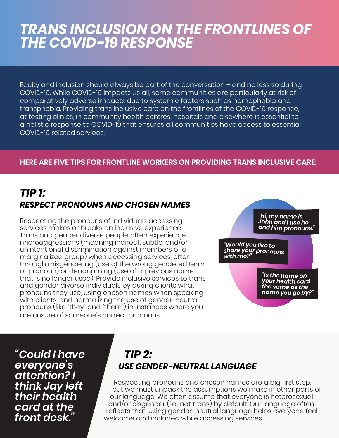# *TRANS INCLUSION ON THE FRONTLINES OF THE COVID-19 RESPONSE*

Equity and inclusion should always be part of the conversation – and no less so during COVID-19. While COVID-19 impacts us all, some communities are particularly at risk of comparatively adverse impacts due to systemic factors such as homophobia and transphobia. Providing trans inclusive care on the frontlines of the COVID-19 response, at testing clinics, in community health centres, hospitals and elsewhere is essential to a holistic response to COVID-19 that ensures all communities have access to essential COVID-19 related services.

#### **HERE ARE FIVE TIPS FOR FRONTLINE WORKERS ON PROVIDING TRANS INCLUSIVE CARE:**

### *TIP 1: RESPECT PRONOUNS AND CHOSEN NAMES*

Respecting the pronouns of individuals accessing services makes or breaks an inclusive experience. Trans and gender diverse people often experience microaggressions (meaning indirect, subtle, and/or unintentional discrimination against members of a marginalized group) when accessing services, often through misgendering (use of the wrong gendered term or pronoun) or deadnaming (use of a previous name that is no longer used). Provide inclusive services to trans and gender diverse individuals by asking clients what pronouns they use, using chosen names when speaking with clients, and normalizing the use of gender-neutral pronouns (like "they" and "them") in instances where you are unsure of someone's correct pronouns.



*"Could I have everyone's attention? I think Jay left their health card at the front desk."*

### *TIP 2: USE GENDER-NEUTRAL LANGUAGE*

Respecting pronouns and chosen names are a big first step, but we must unpack the assumptions we make in other parts of our language. We often assume that everyone is heterosexual and/or cisgender (i.e., not trans) by default. Our language often reflects that. Using gender-neutral language helps everyone feel welcome and included while accessing services.